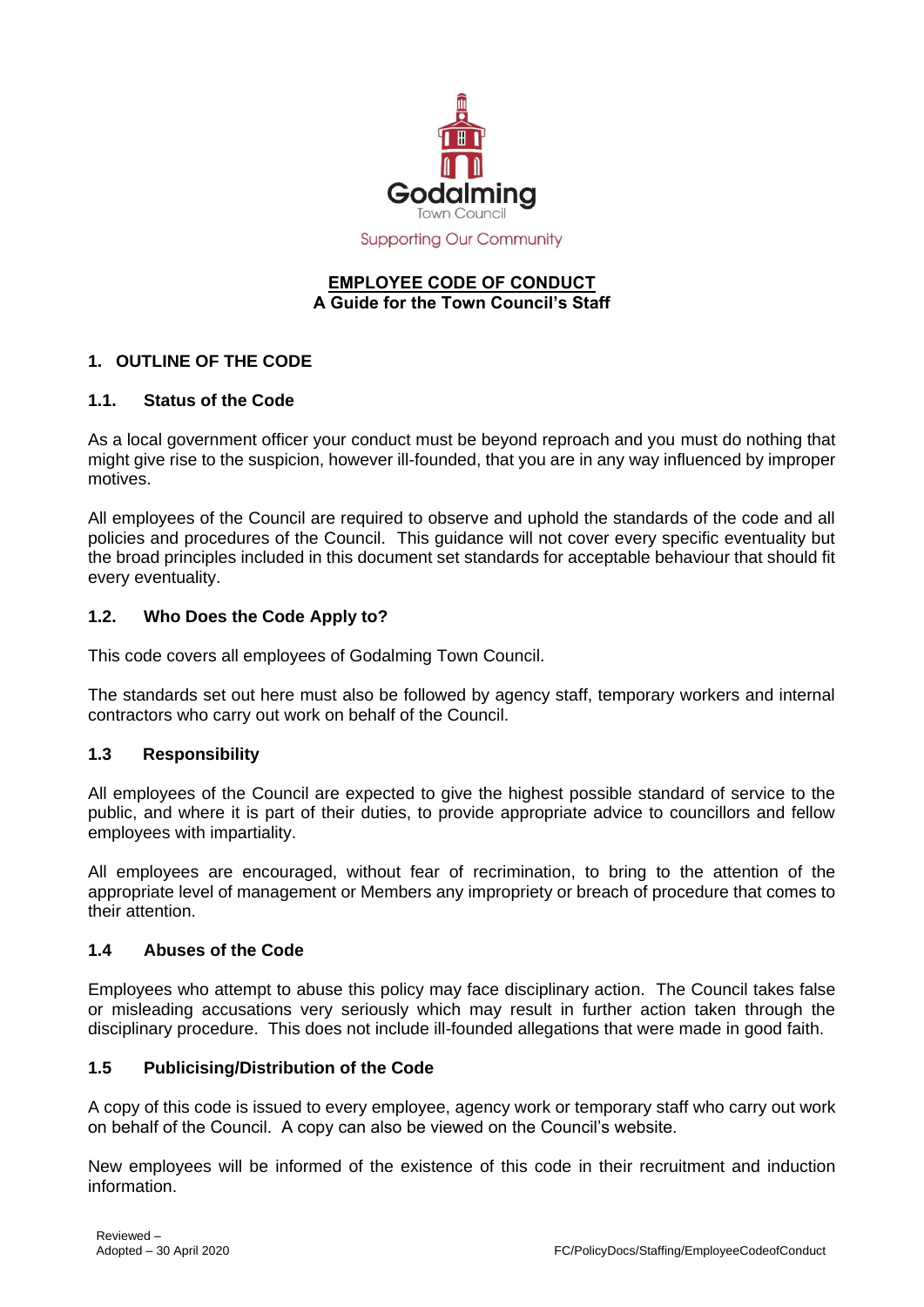

**Supporting Our Community** 

#### **EMPLOYEE CODE OF CONDUCT A Guide for the Town Council's Staff**

## **1. OUTLINE OF THE CODE**

### **1.1. Status of the Code**

As a local government officer your conduct must be beyond reproach and you must do nothing that might give rise to the suspicion, however ill-founded, that you are in any way influenced by improper motives.

All employees of the Council are required to observe and uphold the standards of the code and all policies and procedures of the Council. This guidance will not cover every specific eventuality but the broad principles included in this document set standards for acceptable behaviour that should fit every eventuality.

#### **1.2. Who Does the Code Apply to?**

This code covers all employees of Godalming Town Council.

The standards set out here must also be followed by agency staff, temporary workers and internal contractors who carry out work on behalf of the Council.

### **1.3 Responsibility**

All employees of the Council are expected to give the highest possible standard of service to the public, and where it is part of their duties, to provide appropriate advice to councillors and fellow employees with impartiality.

All employees are encouraged, without fear of recrimination, to bring to the attention of the appropriate level of management or Members any impropriety or breach of procedure that comes to their attention.

#### **1.4 Abuses of the Code**

Employees who attempt to abuse this policy may face disciplinary action. The Council takes false or misleading accusations very seriously which may result in further action taken through the disciplinary procedure. This does not include ill-founded allegations that were made in good faith.

### **1.5 Publicising/Distribution of the Code**

A copy of this code is issued to every employee, agency work or temporary staff who carry out work on behalf of the Council. A copy can also be viewed on the Council's website.

New employees will be informed of the existence of this code in their recruitment and induction information.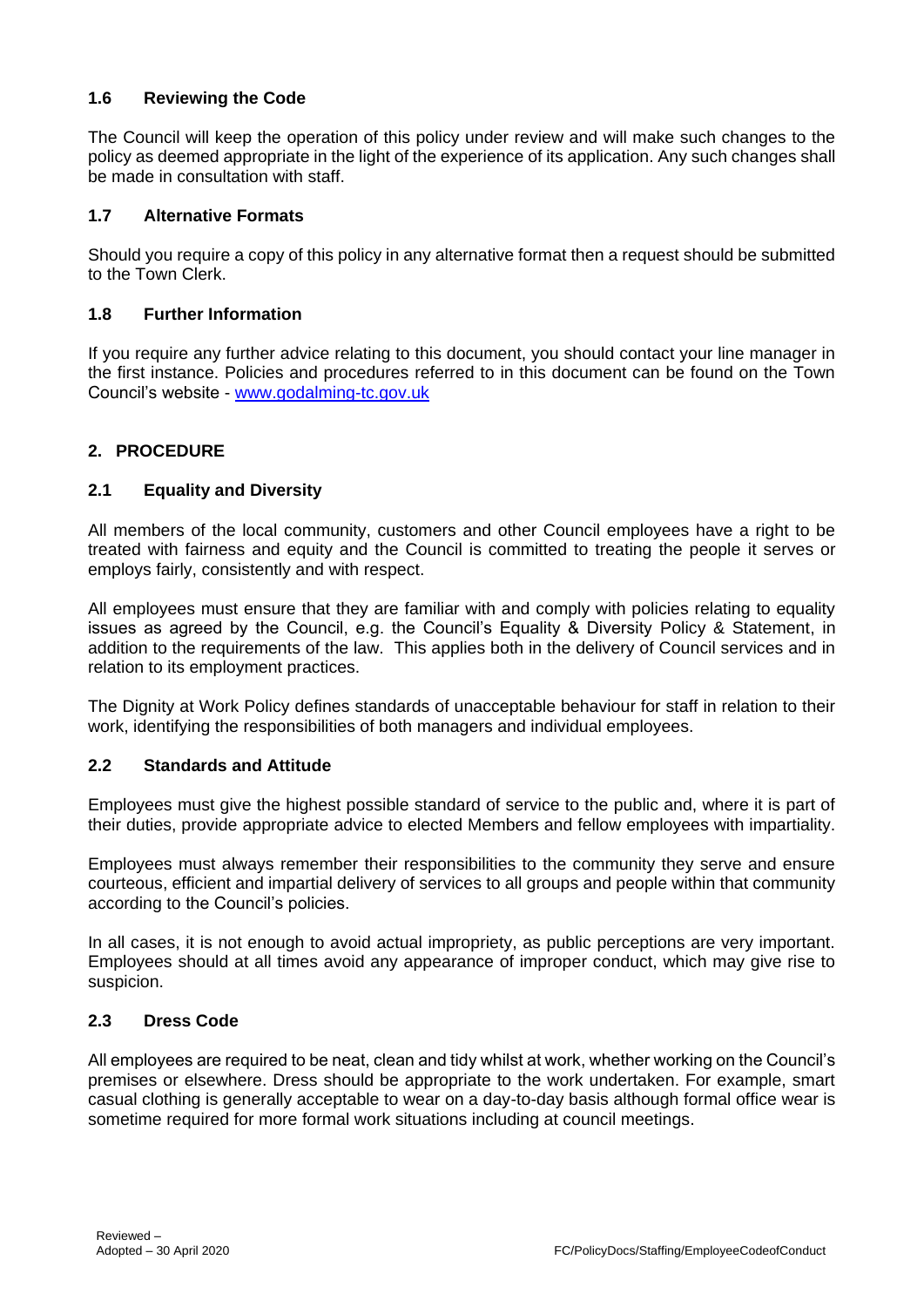# **1.6 Reviewing the Code**

The Council will keep the operation of this policy under review and will make such changes to the policy as deemed appropriate in the light of the experience of its application. Any such changes shall be made in consultation with staff.

## **1.7 Alternative Formats**

Should you require a copy of this policy in any alternative format then a request should be submitted to the Town Clerk.

### **1.8 Further Information**

If you require any further advice relating to this document, you should contact your line manager in the first instance. Policies and procedures referred to in this document can be found on the Town Council's website - [www.godalming-tc.gov.uk](http://www.godalming-tc.gov.uk/)

## **2. PROCEDURE**

### **2.1 Equality and Diversity**

All members of the local community, customers and other Council employees have a right to be treated with fairness and equity and the Council is committed to treating the people it serves or employs fairly, consistently and with respect.

All employees must ensure that they are familiar with and comply with policies relating to equality issues as agreed by the Council, e.g. the Council's Equality & Diversity Policy & Statement, in addition to the requirements of the law. This applies both in the delivery of Council services and in relation to its employment practices.

The Dignity at Work Policy defines standards of unacceptable behaviour for staff in relation to their work, identifying the responsibilities of both managers and individual employees.

### **2.2 Standards and Attitude**

Employees must give the highest possible standard of service to the public and, where it is part of their duties, provide appropriate advice to elected Members and fellow employees with impartiality.

Employees must always remember their responsibilities to the community they serve and ensure courteous, efficient and impartial delivery of services to all groups and people within that community according to the Council's policies.

In all cases, it is not enough to avoid actual impropriety, as public perceptions are very important. Employees should at all times avoid any appearance of improper conduct, which may give rise to suspicion.

#### **2.3 Dress Code**

All employees are required to be neat, clean and tidy whilst at work, whether working on the Council's premises or elsewhere. Dress should be appropriate to the work undertaken. For example, smart casual clothing is generally acceptable to wear on a day-to-day basis although formal office wear is sometime required for more formal work situations including at council meetings.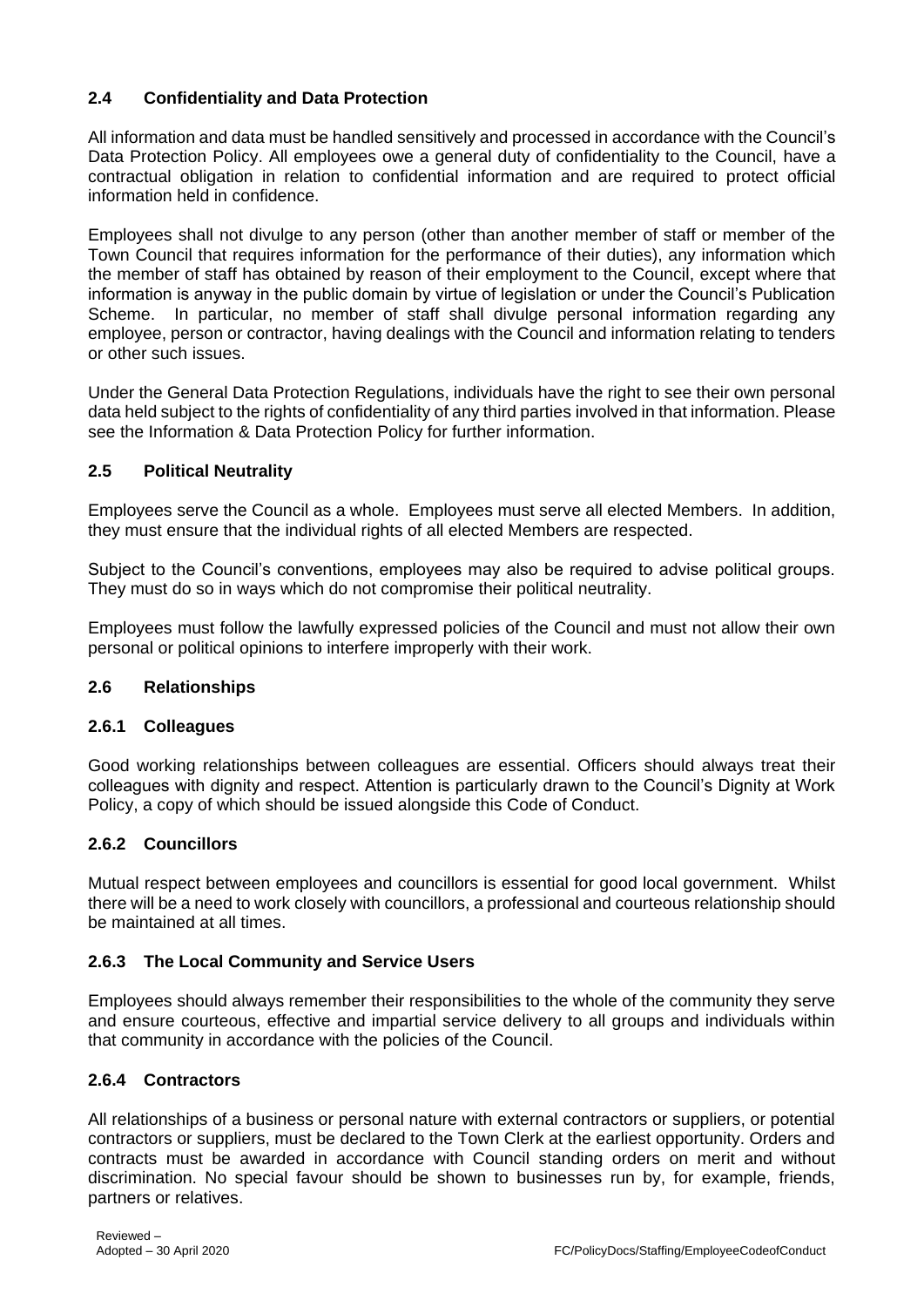# **2.4 Confidentiality and Data Protection**

All information and data must be handled sensitively and processed in accordance with the Council's Data Protection Policy. All employees owe a general duty of confidentiality to the Council, have a contractual obligation in relation to confidential information and are required to protect official information held in confidence.

Employees shall not divulge to any person (other than another member of staff or member of the Town Council that requires information for the performance of their duties), any information which the member of staff has obtained by reason of their employment to the Council, except where that information is anyway in the public domain by virtue of legislation or under the Council's Publication Scheme. In particular, no member of staff shall divulge personal information regarding any employee, person or contractor, having dealings with the Council and information relating to tenders or other such issues.

Under the General Data Protection Regulations, individuals have the right to see their own personal data held subject to the rights of confidentiality of any third parties involved in that information. Please see the Information & Data Protection Policy for further information.

# **2.5 Political Neutrality**

Employees serve the Council as a whole. Employees must serve all elected Members. In addition, they must ensure that the individual rights of all elected Members are respected.

Subject to the Council's conventions, employees may also be required to advise political groups. They must do so in ways which do not compromise their political neutrality.

Employees must follow the lawfully expressed policies of the Council and must not allow their own personal or political opinions to interfere improperly with their work.

# **2.6 Relationships**

### **2.6.1 Colleagues**

Good working relationships between colleagues are essential. Officers should always treat their colleagues with dignity and respect. Attention is particularly drawn to the Council's Dignity at Work Policy, a copy of which should be issued alongside this Code of Conduct.

### **2.6.2 Councillors**

Mutual respect between employees and councillors is essential for good local government. Whilst there will be a need to work closely with councillors, a professional and courteous relationship should be maintained at all times.

# **2.6.3 The Local Community and Service Users**

Employees should always remember their responsibilities to the whole of the community they serve and ensure courteous, effective and impartial service delivery to all groups and individuals within that community in accordance with the policies of the Council.

### **2.6.4 Contractors**

All relationships of a business or personal nature with external contractors or suppliers, or potential contractors or suppliers, must be declared to the Town Clerk at the earliest opportunity. Orders and contracts must be awarded in accordance with Council standing orders on merit and without discrimination. No special favour should be shown to businesses run by, for example, friends, partners or relatives.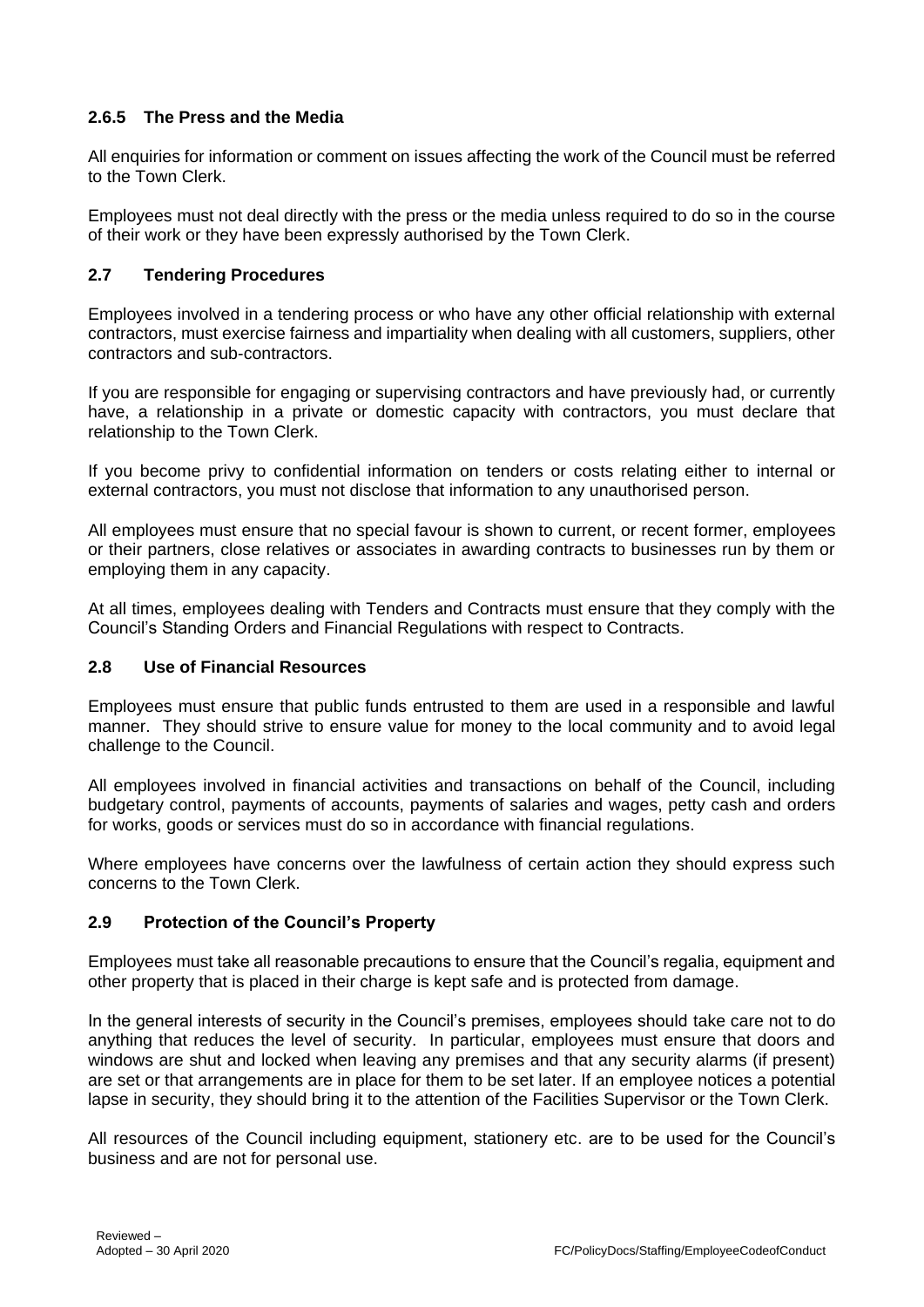# **2.6.5 The Press and the Media**

All enquiries for information or comment on issues affecting the work of the Council must be referred to the Town Clerk.

Employees must not deal directly with the press or the media unless required to do so in the course of their work or they have been expressly authorised by the Town Clerk.

### **2.7 Tendering Procedures**

Employees involved in a tendering process or who have any other official relationship with external contractors, must exercise fairness and impartiality when dealing with all customers, suppliers, other contractors and sub-contractors.

If you are responsible for engaging or supervising contractors and have previously had, or currently have, a relationship in a private or domestic capacity with contractors, you must declare that relationship to the Town Clerk.

If you become privy to confidential information on tenders or costs relating either to internal or external contractors, you must not disclose that information to any unauthorised person.

All employees must ensure that no special favour is shown to current, or recent former, employees or their partners, close relatives or associates in awarding contracts to businesses run by them or employing them in any capacity.

At all times, employees dealing with Tenders and Contracts must ensure that they comply with the Council's Standing Orders and Financial Regulations with respect to Contracts.

### **2.8 Use of Financial Resources**

Employees must ensure that public funds entrusted to them are used in a responsible and lawful manner. They should strive to ensure value for money to the local community and to avoid legal challenge to the Council.

All employees involved in financial activities and transactions on behalf of the Council, including budgetary control, payments of accounts, payments of salaries and wages, petty cash and orders for works, goods or services must do so in accordance with financial regulations.

Where employees have concerns over the lawfulness of certain action they should express such concerns to the Town Clerk.

### **2.9 Protection of the Council's Property**

Employees must take all reasonable precautions to ensure that the Council's regalia, equipment and other property that is placed in their charge is kept safe and is protected from damage.

In the general interests of security in the Council's premises, employees should take care not to do anything that reduces the level of security. In particular, employees must ensure that doors and windows are shut and locked when leaving any premises and that any security alarms (if present) are set or that arrangements are in place for them to be set later. If an employee notices a potential lapse in security, they should bring it to the attention of the Facilities Supervisor or the Town Clerk.

All resources of the Council including equipment, stationery etc. are to be used for the Council's business and are not for personal use.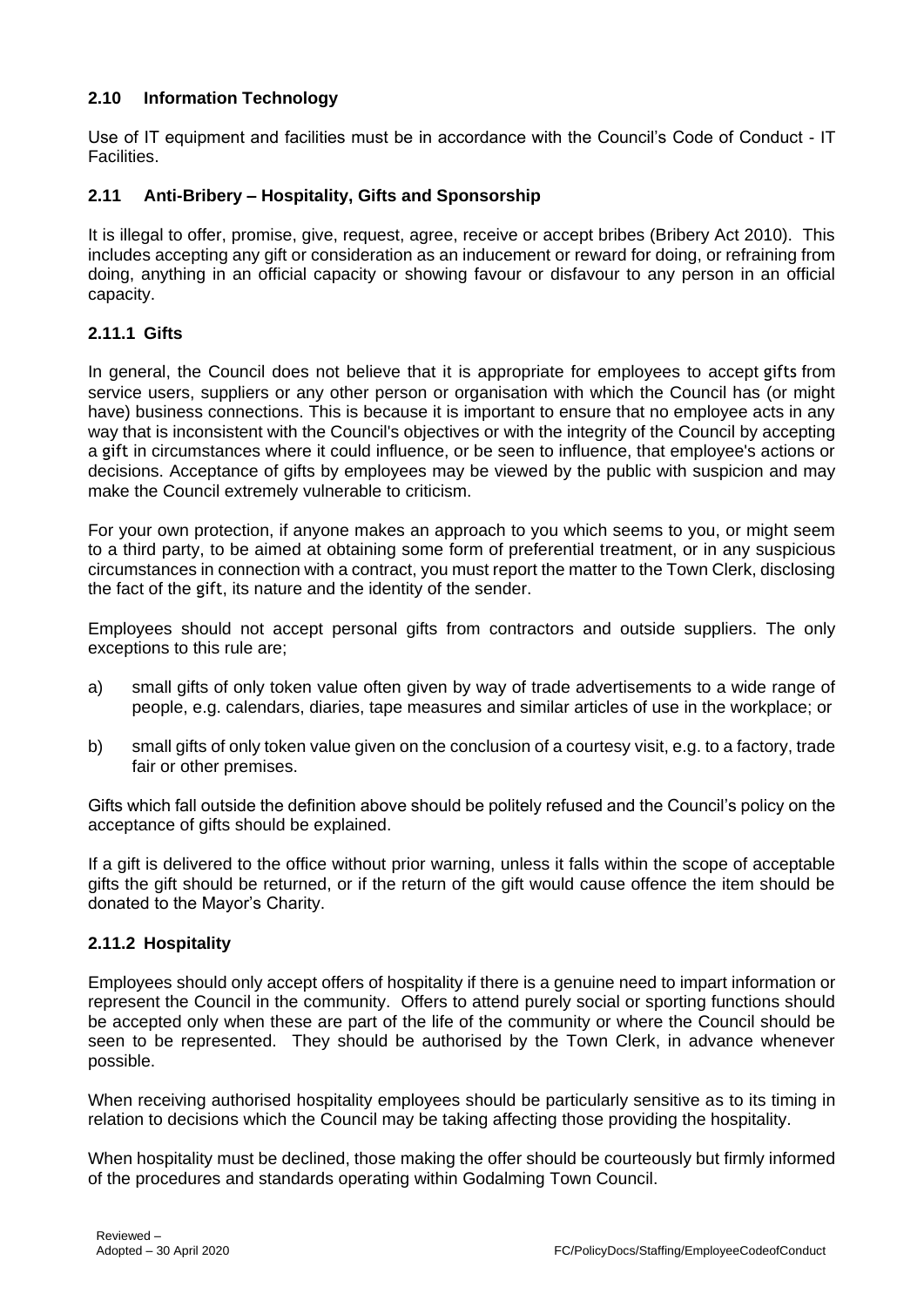# **2.10 Information Technology**

Use of IT equipment and facilities must be in accordance with the Council's Code of Conduct - IT Facilities.

## **2.11 Anti-Bribery – Hospitality, Gifts and Sponsorship**

It is illegal to offer, promise, give, request, agree, receive or accept bribes (Bribery Act 2010). This includes accepting any gift or consideration as an inducement or reward for doing, or refraining from doing, anything in an official capacity or showing favour or disfavour to any person in an official capacity.

## **2.11.1 Gifts**

In general, the Council does not believe that it is appropriate for employees to accept gifts from service users, suppliers or any other person or organisation with which the Council has (or might have) business connections. This is because it is important to ensure that no employee acts in any way that is inconsistent with the Council's objectives or with the integrity of the Council by accepting a gift in circumstances where it could influence, or be seen to influence, that employee's actions or decisions. Acceptance of gifts by employees may be viewed by the public with suspicion and may make the Council extremely vulnerable to criticism.

For your own protection, if anyone makes an approach to you which seems to you, or might seem to a third party, to be aimed at obtaining some form of preferential treatment, or in any suspicious circumstances in connection with a contract, you must report the matter to the Town Clerk, disclosing the fact of the gift, its nature and the identity of the sender.

Employees should not accept personal gifts from contractors and outside suppliers. The only exceptions to this rule are;

- a) small gifts of only token value often given by way of trade advertisements to a wide range of people, e.g. calendars, diaries, tape measures and similar articles of use in the workplace; or
- b) small gifts of only token value given on the conclusion of a courtesy visit, e.g. to a factory, trade fair or other premises.

Gifts which fall outside the definition above should be politely refused and the Council's policy on the acceptance of gifts should be explained.

If a gift is delivered to the office without prior warning, unless it falls within the scope of acceptable gifts the gift should be returned, or if the return of the gift would cause offence the item should be donated to the Mayor's Charity.

### **2.11.2 Hospitality**

Employees should only accept offers of hospitality if there is a genuine need to impart information or represent the Council in the community. Offers to attend purely social or sporting functions should be accepted only when these are part of the life of the community or where the Council should be seen to be represented. They should be authorised by the Town Clerk, in advance whenever possible.

When receiving authorised hospitality employees should be particularly sensitive as to its timing in relation to decisions which the Council may be taking affecting those providing the hospitality.

When hospitality must be declined, those making the offer should be courteously but firmly informed of the procedures and standards operating within Godalming Town Council.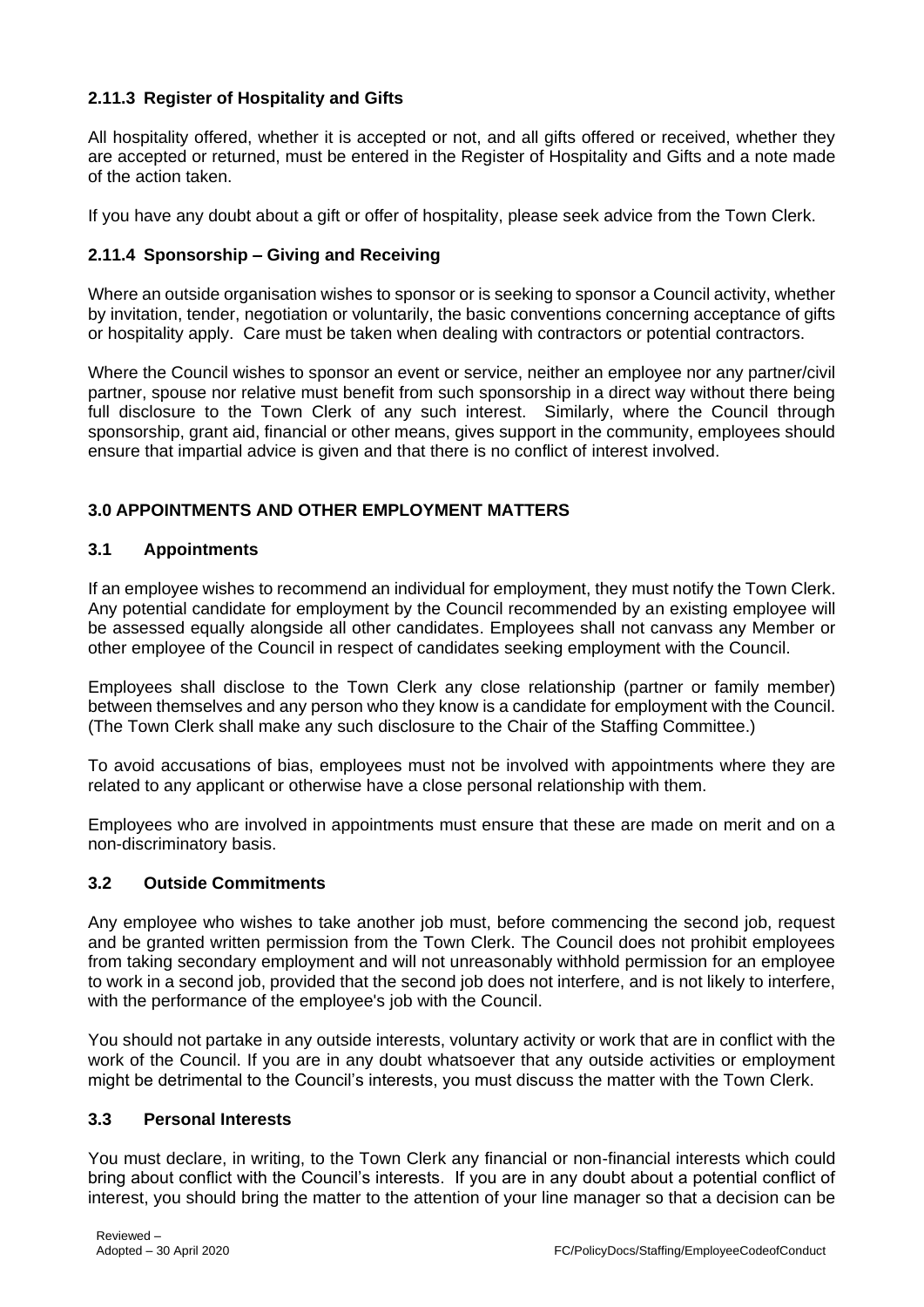# **2.11.3 Register of Hospitality and Gifts**

All hospitality offered, whether it is accepted or not, and all gifts offered or received, whether they are accepted or returned, must be entered in the Register of Hospitality and Gifts and a note made of the action taken.

If you have any doubt about a gift or offer of hospitality, please seek advice from the Town Clerk.

# **2.11.4 Sponsorship – Giving and Receiving**

Where an outside organisation wishes to sponsor or is seeking to sponsor a Council activity, whether by invitation, tender, negotiation or voluntarily, the basic conventions concerning acceptance of gifts or hospitality apply. Care must be taken when dealing with contractors or potential contractors.

Where the Council wishes to sponsor an event or service, neither an employee nor any partner/civil partner, spouse nor relative must benefit from such sponsorship in a direct way without there being full disclosure to the Town Clerk of any such interest. Similarly, where the Council through sponsorship, grant aid, financial or other means, gives support in the community, employees should ensure that impartial advice is given and that there is no conflict of interest involved.

# **3.0 APPOINTMENTS AND OTHER EMPLOYMENT MATTERS**

### **3.1 Appointments**

If an employee wishes to recommend an individual for employment, they must notify the Town Clerk. Any potential candidate for employment by the Council recommended by an existing employee will be assessed equally alongside all other candidates. Employees shall not canvass any Member or other employee of the Council in respect of candidates seeking employment with the Council.

Employees shall disclose to the Town Clerk any close relationship (partner or family member) between themselves and any person who they know is a candidate for employment with the Council. (The Town Clerk shall make any such disclosure to the Chair of the Staffing Committee.)

To avoid accusations of bias, employees must not be involved with appointments where they are related to any applicant or otherwise have a close personal relationship with them.

Employees who are involved in appointments must ensure that these are made on merit and on a non-discriminatory basis.

### **3.2 Outside Commitments**

Any employee who wishes to take another job must, before commencing the second job, request and be granted written permission from the Town Clerk. The Council does not prohibit employees from taking secondary employment and will not unreasonably withhold permission for an employee to work in a second job, provided that the second job does not interfere, and is not likely to interfere, with the performance of the employee's job with the Council.

You should not partake in any outside interests, voluntary activity or work that are in conflict with the work of the Council. If you are in any doubt whatsoever that any outside activities or employment might be detrimental to the Council's interests, you must discuss the matter with the Town Clerk.

### **3.3 Personal Interests**

You must declare, in writing, to the Town Clerk any financial or non-financial interests which could bring about conflict with the Council's interests. If you are in any doubt about a potential conflict of interest, you should bring the matter to the attention of your line manager so that a decision can be